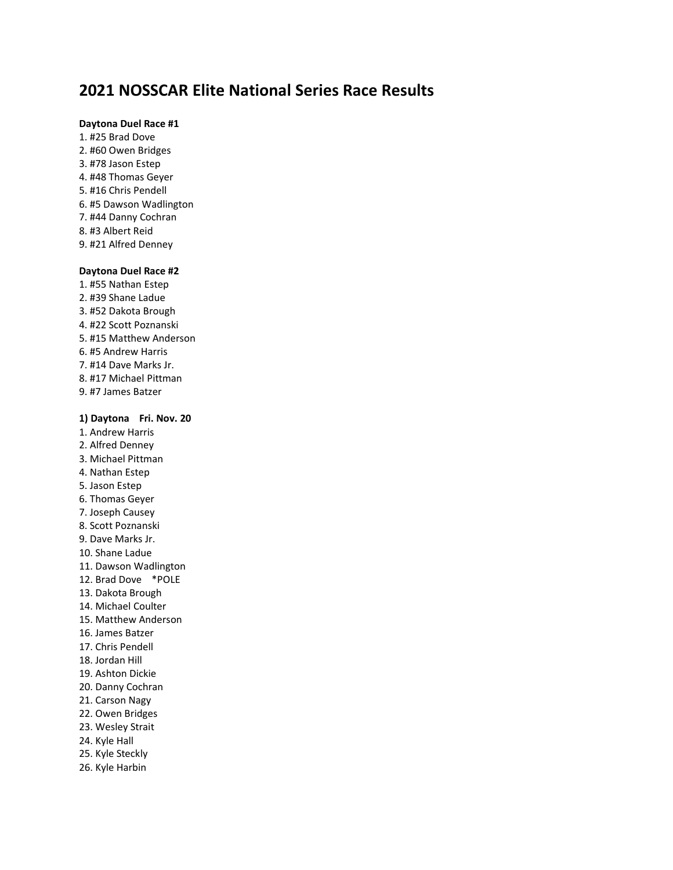# **2021 NOSSCAR Elite National Series Race Results**

### **Daytona Duel Race #1**

1. #25 Brad Dove 2. #60 Owen Bridges 3. #78 Jason Estep 4. #48 Thomas Geyer 5. #16 Chris Pendell 6. #5 Dawson Wadlington 7. #44 Danny Cochran 8. #3 Albert Reid 9. #21 Alfred Denney

## **Daytona Duel Race #2**

1. #55 Nathan Estep 2. #39 Shane Ladue 3. #52 Dakota Brough 4. #22 Scott Poznanski 5. #15 Matthew Anderson 6. #5 Andrew Harris 7. #14 Dave Marks Jr. 8. #17 Michael Pittman 9. #7 James Batzer

## **1) Daytona Fri. Nov. 20**

1. Andrew Harris 2. Alfred Denney 3. Michael Pittman 4. Nathan Estep 5. Jason Estep 6. Thomas Geyer 7. Joseph Causey 8. Scott Poznanski 9. Dave Marks Jr. 10. Shane Ladue 11. Dawson Wadlington 12. Brad Dove \*POLE 13. Dakota Brough 14. Michael Coulter 15. Matthew Anderson 16. James Batzer 17. Chris Pendell 18. Jordan Hill 19. Ashton Dickie 20. Danny Cochran 21. Carson Nagy 22. Owen Bridges 23. Wesley Strait 24. Kyle Hall 25. Kyle Steckly 26. Kyle Harbin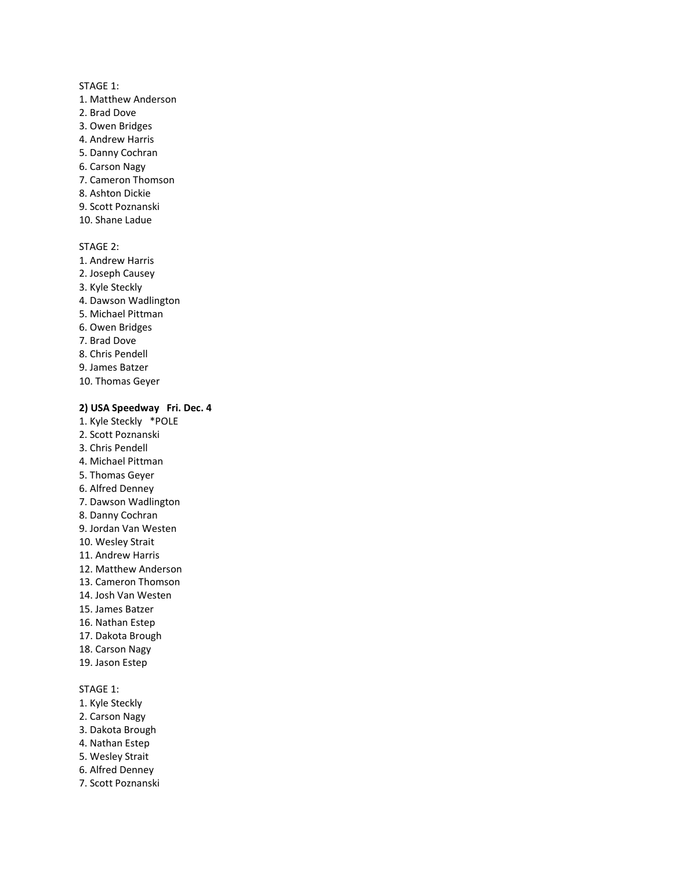- 1. Matthew Anderson
- 2. Brad Dove
- 3. Owen Bridges
- 4. Andrew Harris
- 5. Danny Cochran
- 6. Carson Nagy
- 7. Cameron Thomson
- 8. Ashton Dickie
- 9. Scott Poznanski
- 10. Shane Ladue

#### STAGE 2:

- 1. Andrew Harris 2. Joseph Causey 3. Kyle Steckly 4. Dawson Wadlington 5. Michael Pittman 6. Owen Bridges 7. Brad Dove 8. Chris Pendell 9. James Batzer
- 10. Thomas Geyer

### **2) USA Speedway Fri. Dec. 4**

- 1. Kyle Steckly \*POLE 2. Scott Poznanski 3. Chris Pendell
- 4. Michael Pittman
- 5. Thomas Geyer
- 6. Alfred Denney
- 7. Dawson Wadlington
- 8. Danny Cochran
- 9. Jordan Van Westen
- 10. Wesley Strait
- 11. Andrew Harris
- 12. Matthew Anderson
- 13. Cameron Thomson
- 14. Josh Van Westen
- 15. James Batzer
- 16. Nathan Estep
- 17. Dakota Brough
- 18. Carson Nagy
- 19. Jason Estep

- 1. Kyle Steckly
- 2. Carson Nagy
- 3. Dakota Brough
- 4. Nathan Estep
- 5. Wesley Strait
- 6. Alfred Denney
- 7. Scott Poznanski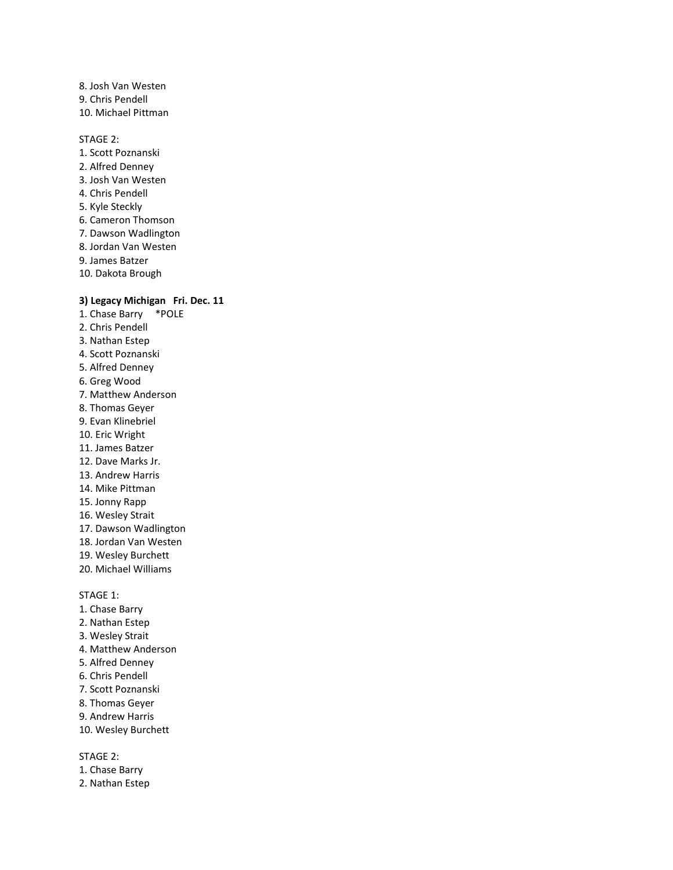8. Josh Van Westen 9. Chris Pendell 10. Michael Pittman

STAGE 2:

- 1. Scott Poznanski 2. Alfred Denney 3. Josh Van Westen 4. Chris Pendell 5. Kyle Steckly 6. Cameron Thomson 7. Dawson Wadlington 8. Jordan Van Westen 9. James Batzer
- 10. Dakota Brough

## **3) Legacy Michigan Fri. Dec. 11**

- 1. Chase Barry \*POLE 2. Chris Pendell 3. Nathan Estep 4. Scott Poznanski 5. Alfred Denney 6. Greg Wood 7. Matthew Anderson 8. Thomas Geyer 9. Evan Klinebriel 10. Eric Wright 11. James Batzer 12. Dave Marks Jr. 13. Andrew Harris 14. Mike Pittman 15. Jonny Rapp 16. Wesley Strait 17. Dawson Wadlington 18. Jordan Van Westen 19. Wesley Burchett 20. Michael Williams STAGE 1:
- 1. Chase Barry
- 2. Nathan Estep
- 3. Wesley Strait
- 4. Matthew Anderson
- 5. Alfred Denney
- 6. Chris Pendell
- 7. Scott Poznanski
- 8. Thomas Geyer
- 9. Andrew Harris
- 10. Wesley Burchett

- 1. Chase Barry
- 2. Nathan Estep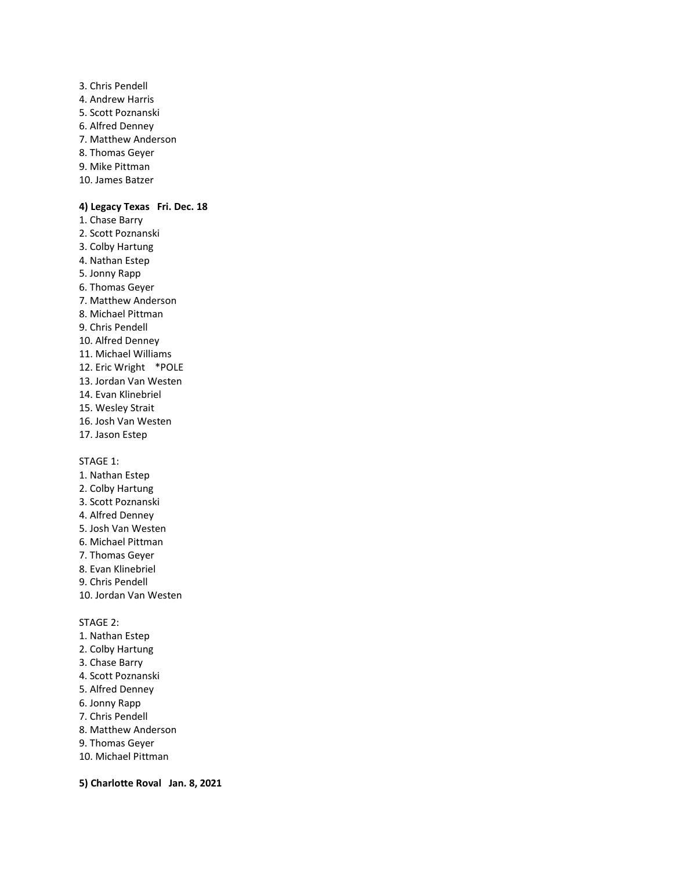3. Chris Pendell 4. Andrew Harris 5. Scott Poznanski 6. Alfred Denney 7. Matthew Anderson 8. Thomas Geyer 9. Mike Pittman 10. James Batzer

#### **4) Legacy Texas Fri. Dec. 18**

- 1. Chase Barry
- 2. Scott Poznanski
- 3. Colby Hartung 4. Nathan Estep
- 5. Jonny Rapp
- 6. Thomas Geyer
- 7. Matthew Anderson
- 8. Michael Pittman
- 9. Chris Pendell
- 10. Alfred Denney
- 11. Michael Williams
- 12. Eric Wright \*POLE
- 13. Jordan Van Westen
- 14. Evan Klinebriel
- 15. Wesley Strait
- 16. Josh Van Westen
- 17. Jason Estep

STAGE 1:

- 1. Nathan Estep
- 2. Colby Hartung
- 3. Scott Poznanski
- 4. Alfred Denney
- 5. Josh Van Westen
- 6. Michael Pittman
- 7. Thomas Geyer
- 8. Evan Klinebriel
- 9. Chris Pendell
- 10. Jordan Van Westen

STAGE 2:

- 1. Nathan Estep
- 2. Colby Hartung
- 3. Chase Barry
- 4. Scott Poznanski
- 5. Alfred Denney
- 6. Jonny Rapp
- 7. Chris Pendell
- 8. Matthew Anderson
- 9. Thomas Geyer
- 10. Michael Pittman

**5) Charlotte Roval Jan. 8, 2021**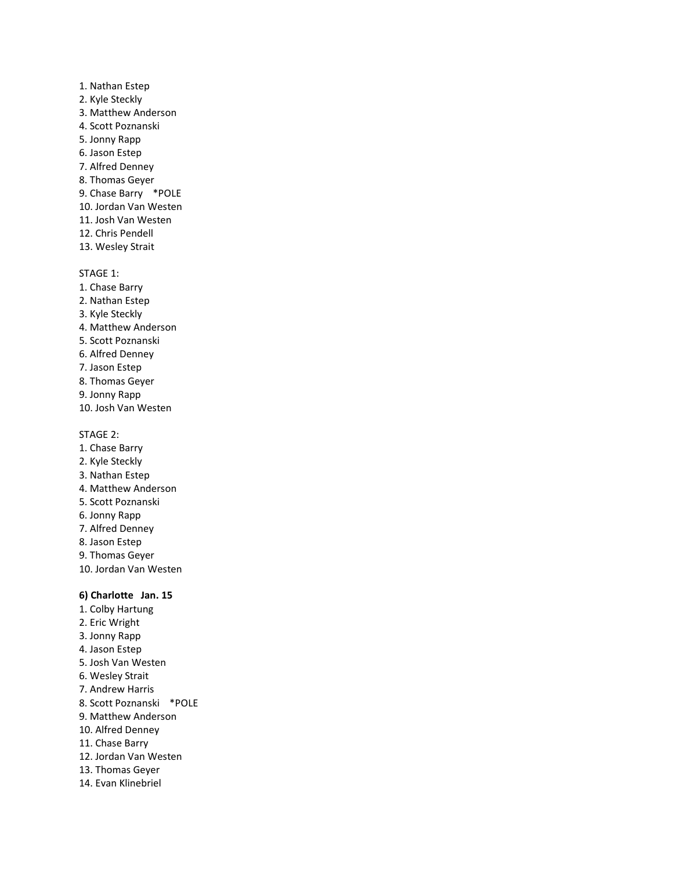- 1. Nathan Estep 2. Kyle Steckly 3. Matthew Anderson 4. Scott Poznanski 5. Jonny Rapp 6. Jason Estep 7. Alfred Denney 8. Thomas Geyer 9. Chase Barry \*POLE 10. Jordan Van Westen 11. Josh Van Westen 12. Chris Pendell
- 13. Wesley Strait

- 1. Chase Barry
- 2. Nathan Estep
- 3. Kyle Steckly
- 4. Matthew Anderson
- 5. Scott Poznanski
- 6. Alfred Denney
- 7. Jason Estep
- 8. Thomas Geyer
- 9. Jonny Rapp
- 10. Josh Van Westen

STAGE 2:

- 1. Chase Barry
- 2. Kyle Steckly
- 3. Nathan Estep
- 4. Matthew Anderson
- 5. Scott Poznanski
- 6. Jonny Rapp
- 7. Alfred Denney
- 8. Jason Estep
- 9. Thomas Geyer
- 10. Jordan Van Westen

### **6) Charlotte Jan. 15**

- 1. Colby Hartung
- 2. Eric Wright
- 3. Jonny Rapp
- 4. Jason Estep
- 5. Josh Van Westen
- 6. Wesley Strait
- 7. Andrew Harris
- 8. Scott Poznanski \*POLE
- 9. Matthew Anderson
- 10. Alfred Denney
- 11. Chase Barry
- 12. Jordan Van Westen
- 13. Thomas Geyer
- 14. Evan Klinebriel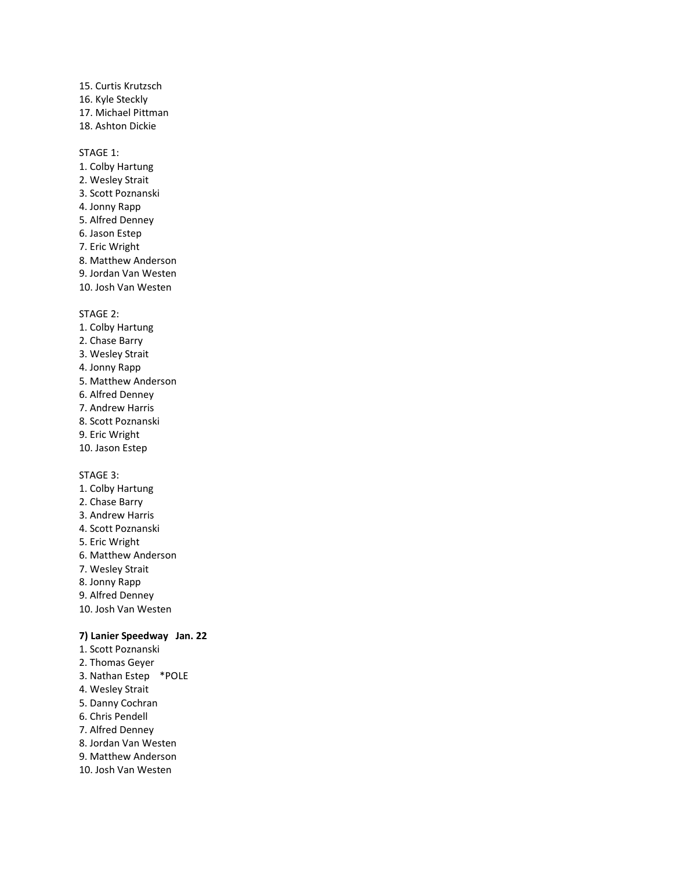15. Curtis Krutzsch 16. Kyle Steckly 17. Michael Pittman 18. Ashton Dickie

#### STAGE 1:

- 1. Colby Hartung 2. Wesley Strait 3. Scott Poznanski 4. Jonny Rapp 5. Alfred Denney 6. Jason Estep 7. Eric Wright 8. Matthew Anderson 9. Jordan Van Westen
- 10. Josh Van Westen

STAGE 2:

- 1. Colby Hartung
- 2. Chase Barry
- 3. Wesley Strait
- 4. Jonny Rapp
- 5. Matthew Anderson
- 6. Alfred Denney
- 7. Andrew Harris
- 8. Scott Poznanski
- 9. Eric Wright
- 10. Jason Estep

#### STAGE 3:

- 1. Colby Hartung
- 2. Chase Barry
- 3. Andrew Harris
- 4. Scott Poznanski
- 5. Eric Wright
- 6. Matthew Anderson
- 7. Wesley Strait
- 8. Jonny Rapp
- 9. Alfred Denney
- 10. Josh Van Westen

### **7) Lanier Speedway Jan. 22**

- 1. Scott Poznanski 2. Thomas Geyer
- 3. Nathan Estep \*POLE
- 4. Wesley Strait
- 5. Danny Cochran
- 6. Chris Pendell
- 7. Alfred Denney
- 8. Jordan Van Westen
- 9. Matthew Anderson
- 10. Josh Van Westen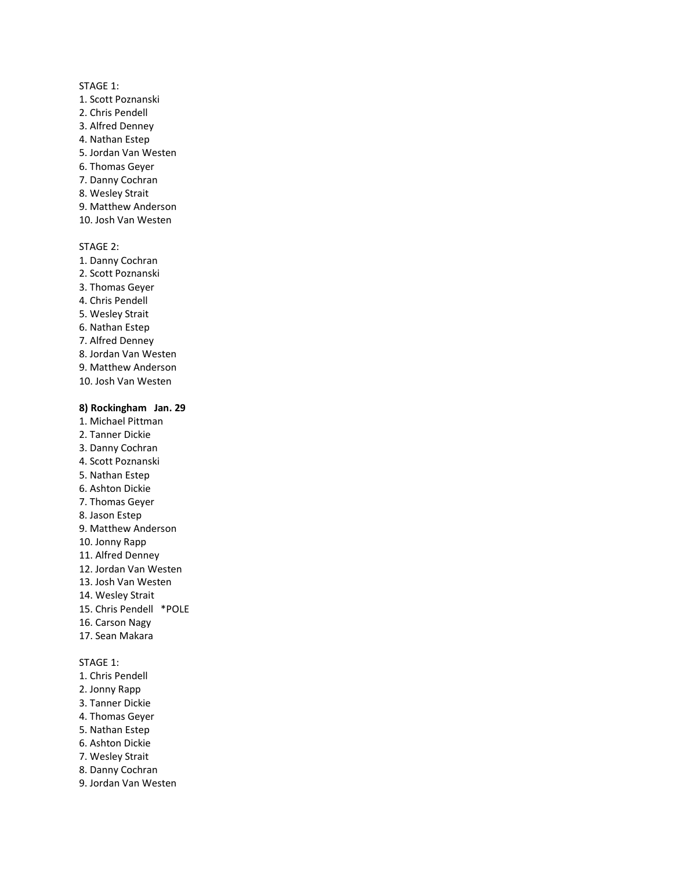- 1. Scott Poznanski
- 2. Chris Pendell
- 3. Alfred Denney
- 4. Nathan Estep
- 5. Jordan Van Westen
- 6. Thomas Geyer
- 7. Danny Cochran
- 8. Wesley Strait
- 9. Matthew Anderson
- 10. Josh Van Westen

#### STAGE 2:

- 1. Danny Cochran 2. Scott Poznanski 3. Thomas Geyer 4. Chris Pendell 5. Wesley Strait 6. Nathan Estep 7. Alfred Denney 8. Jordan Van Westen 9. Matthew Anderson
- 10. Josh Van Westen

### **8) Rockingham Jan. 29**

- 1. Michael Pittman
- 2. Tanner Dickie
- 3. Danny Cochran
- 4. Scott Poznanski
- 5. Nathan Estep
- 6. Ashton Dickie
- 7. Thomas Geyer
- 8. Jason Estep
- 9. Matthew Anderson
- 10. Jonny Rapp
- 11. Alfred Denney
- 12. Jordan Van Westen
- 13. Josh Van Westen
- 14. Wesley Strait
- 15. Chris Pendell \*POLE
- 16. Carson Nagy
- 17. Sean Makara

- 1. Chris Pendell
- 2. Jonny Rapp
- 3. Tanner Dickie
- 4. Thomas Geyer
- 5. Nathan Estep
- 6. Ashton Dickie
- 7. Wesley Strait
- 8. Danny Cochran
- 9. Jordan Van Westen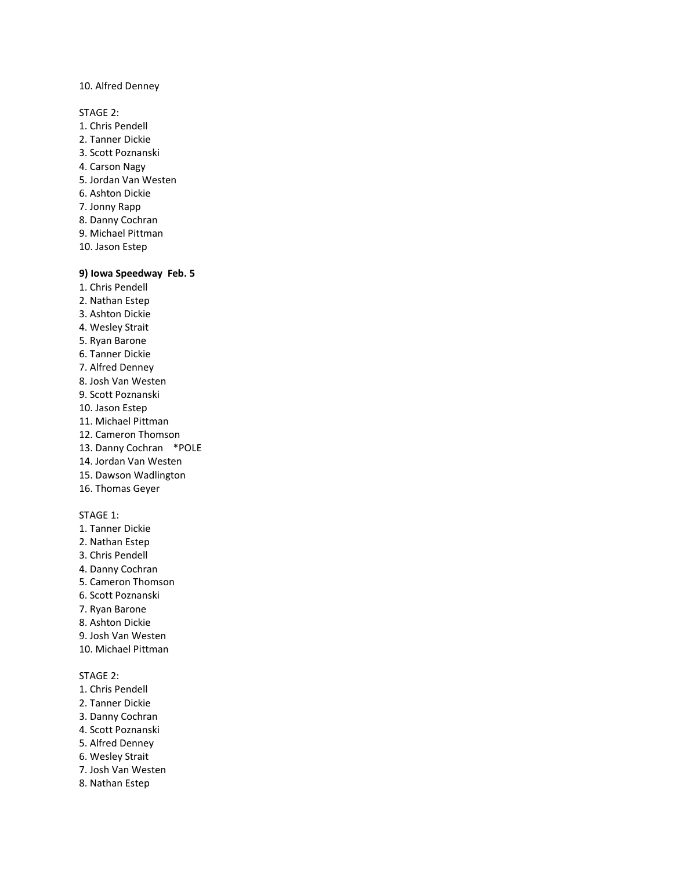10. Alfred Denney

STAGE 2:

- 1. Chris Pendell
- 2. Tanner Dickie
- 3. Scott Poznanski
- 4. Carson Nagy
- 5. Jordan Van Westen
- 6. Ashton Dickie
- 7. Jonny Rapp
- 8. Danny Cochran
- 9. Michael Pittman
- 10. Jason Estep

## **9) Iowa Speedway Feb. 5**

- 1. Chris Pendell
- 2. Nathan Estep
- 3. Ashton Dickie
- 4. Wesley Strait
- 5. Ryan Barone
- 6. Tanner Dickie
- 7. Alfred Denney
- 8. Josh Van Westen
- 9. Scott Poznanski
- 10. Jason Estep
- 11. Michael Pittman
- 12. Cameron Thomson
- 13. Danny Cochran \*POLE
- 14. Jordan Van Westen
- 15. Dawson Wadlington
- 16. Thomas Geyer

#### STAGE 1:

- 1. Tanner Dickie
- 2. Nathan Estep
- 3. Chris Pendell
- 4. Danny Cochran
- 5. Cameron Thomson
- 6. Scott Poznanski
- 7. Ryan Barone
- 8. Ashton Dickie
- 9. Josh Van Westen
- 10. Michael Pittman

- 1. Chris Pendell
- 2. Tanner Dickie
- 3. Danny Cochran
- 4. Scott Poznanski
- 5. Alfred Denney
- 6. Wesley Strait
- 7. Josh Van Westen
- 8. Nathan Estep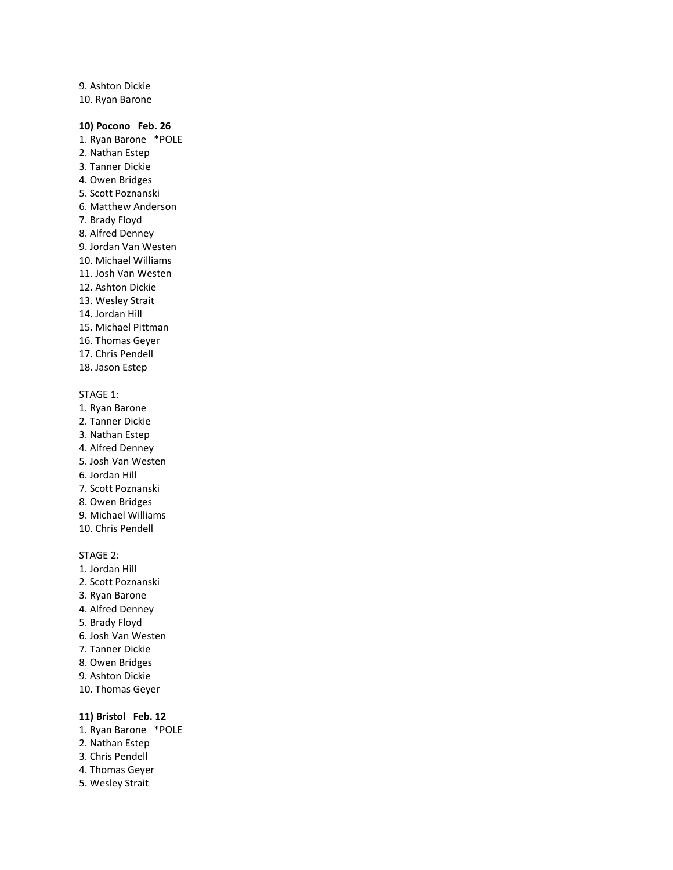9. Ashton Dickie 10. Ryan Barone

#### **10) Pocono Feb. 26**

- 1. Ryan Barone \*POLE 2. Nathan Estep 3. Tanner Dickie 4. Owen Bridges 5. Scott Poznanski 6. Matthew Anderson 7. Brady Floyd 8. Alfred Denney 9. Jordan Van Westen 10. Michael Williams 11. Josh Van Westen 12. Ashton Dickie 13. Wesley Strait 14. Jordan Hill 15. Michael Pittman 16. Thomas Geyer 17. Chris Pendell 18. Jason Estep STAGE 1:
- 1. Ryan Barone
- 2. Tanner Dickie
- 3. Nathan Estep
- 4. Alfred Denney
- 5. Josh Van Westen
- 6. Jordan Hill
- 7. Scott Poznanski
- 8. Owen Bridges
- 9. Michael Williams
- 10. Chris Pendell

## STAGE 2:

- 1. Jordan Hill 2. Scott Poznanski 3. Ryan Barone 4. Alfred Denney 5. Brady Floyd
- 6. Josh Van Westen
- 7. Tanner Dickie
- 8. Owen Bridges
- 9. Ashton Dickie
- 10. Thomas Geyer

#### **11) Bristol Feb. 12**

- 1. Ryan Barone \*POLE
- 2. Nathan Estep
- 3. Chris Pendell
- 4. Thomas Geyer
- 5. Wesley Strait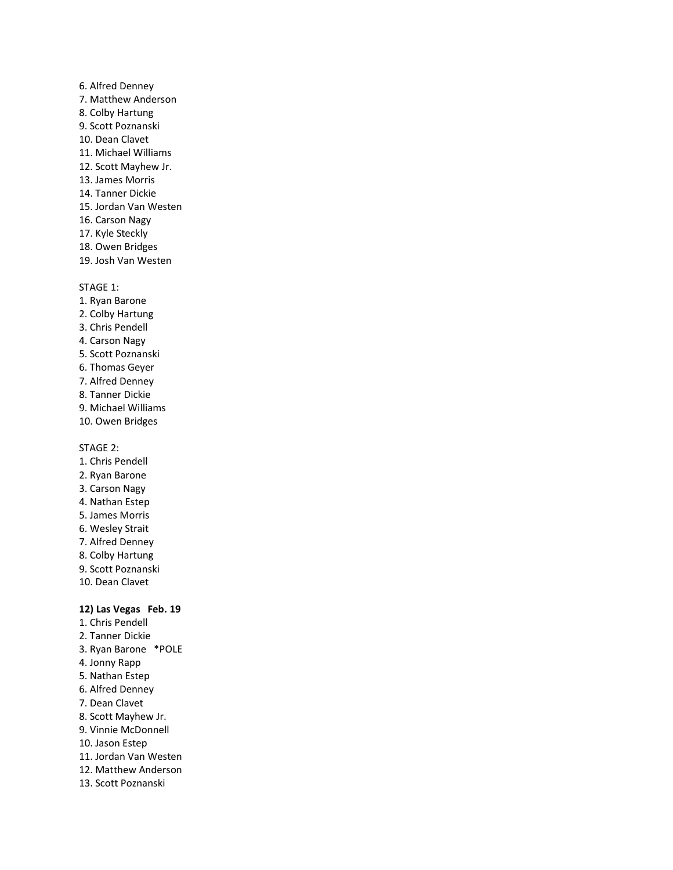- 6. Alfred Denney 7. Matthew Anderson 8. Colby Hartung 9. Scott Poznanski 10. Dean Clavet 11. Michael Williams 12. Scott Mayhew Jr. 13. James Morris 14. Tanner Dickie 15. Jordan Van Westen 16. Carson Nagy 17. Kyle Steckly 18. Owen Bridges
- 19. Josh Van Westen

- 1. Ryan Barone
- 2. Colby Hartung
- 3. Chris Pendell
- 4. Carson Nagy
- 5. Scott Poznanski
- 6. Thomas Geyer
- 7. Alfred Denney
- 8. Tanner Dickie
- 9. Michael Williams
- 10. Owen Bridges

STAGE 2:

- 1. Chris Pendell
- 2. Ryan Barone
- 3. Carson Nagy
- 4. Nathan Estep
- 5. James Morris
- 6. Wesley Strait
- 7. Alfred Denney
- 8. Colby Hartung
- 9. Scott Poznanski
- 10. Dean Clavet

#### **12) Las Vegas Feb. 19**

1. Chris Pendell 2. Tanner Dickie 3. Ryan Barone \*POLE 4. Jonny Rapp 5. Nathan Estep 6. Alfred Denney 7. Dean Clavet 8. Scott Mayhew Jr. 9. Vinnie McDonnell 10. Jason Estep 11. Jordan Van Westen 12. Matthew Anderson 13. Scott Poznanski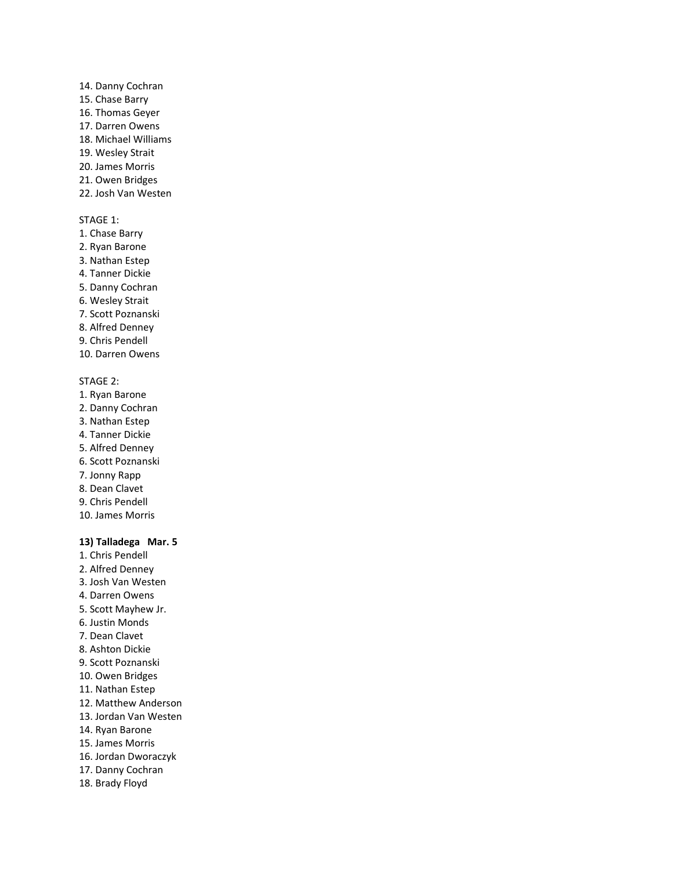14. Danny Cochran 15. Chase Barry 16. Thomas Geyer 17. Darren Owens 18. Michael Williams 19. Wesley Strait 20. James Morris 21. Owen Bridges 22. Josh Van Westen

## STAGE 1:

- 1. Chase Barry
- 2. Ryan Barone
- 3. Nathan Estep
- 4. Tanner Dickie
- 5. Danny Cochran
- 6. Wesley Strait
- 7. Scott Poznanski
- 8. Alfred Denney 9. Chris Pendell
- 10. Darren Owens

## STAGE 2:

- 1. Ryan Barone 2. Danny Cochran 3. Nathan Estep 4. Tanner Dickie 5. Alfred Denney 6. Scott Poznanski 7. Jonny Rapp
- 8. Dean Clavet
- 9. Chris Pendell 10. James Morris
- 

## **13) Talladega Mar. 5**

1. Chris Pendell 2. Alfred Denney 3. Josh Van Westen 4. Darren Owens 5. Scott Mayhew Jr. 6. Justin Monds 7. Dean Clavet 8. Ashton Dickie 9. Scott Poznanski 10. Owen Bridges 11. Nathan Estep 12. Matthew Anderson 13. Jordan Van Westen 14. Ryan Barone 15. James Morris 16. Jordan Dworaczyk 17. Danny Cochran 18. Brady Floyd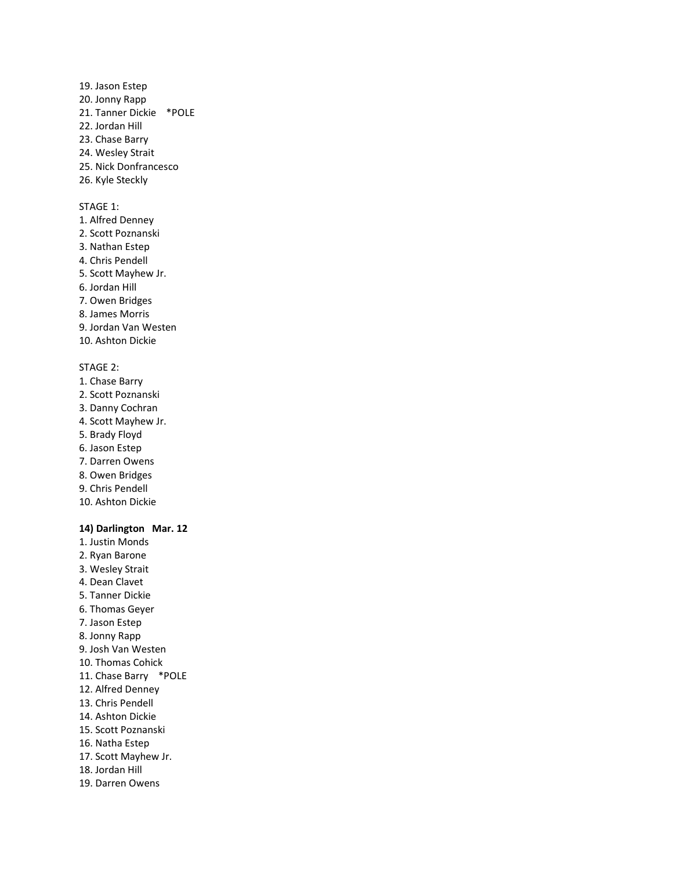- 19. Jason Estep 20. Jonny Rapp 21. Tanner Dickie \*POLE 22. Jordan Hill 23. Chase Barry 24. Wesley Strait 25. Nick Donfrancesco
- 26. Kyle Steckly

- 1. Alfred Denney
- 2. Scott Poznanski
- 3. Nathan Estep
- 4. Chris Pendell
- 5. Scott Mayhew Jr.
- 6. Jordan Hill
- 7. Owen Bridges
- 8. James Morris
- 9. Jordan Van Westen
- 10. Ashton Dickie

#### STAGE 2:

- 1. Chase Barry
- 2. Scott Poznanski
- 3. Danny Cochran
- 4. Scott Mayhew Jr.
- 5. Brady Floyd
- 6. Jason Estep
- 7. Darren Owens
- 8. Owen Bridges
- 9. Chris Pendell
- 10. Ashton Dickie

## **14) Darlington Mar. 12**

- 1. Justin Monds 2. Ryan Barone 3. Wesley Strait 4. Dean Clavet 5. Tanner Dickie 6. Thomas Geyer 7. Jason Estep 8. Jonny Rapp 9. Josh Van Westen 10. Thomas Cohick 11. Chase Barry \*POLE 12. Alfred Denney 13. Chris Pendell 14. Ashton Dickie 15. Scott Poznanski 16. Natha Estep 17. Scott Mayhew Jr.
- 18. Jordan Hill
- 19. Darren Owens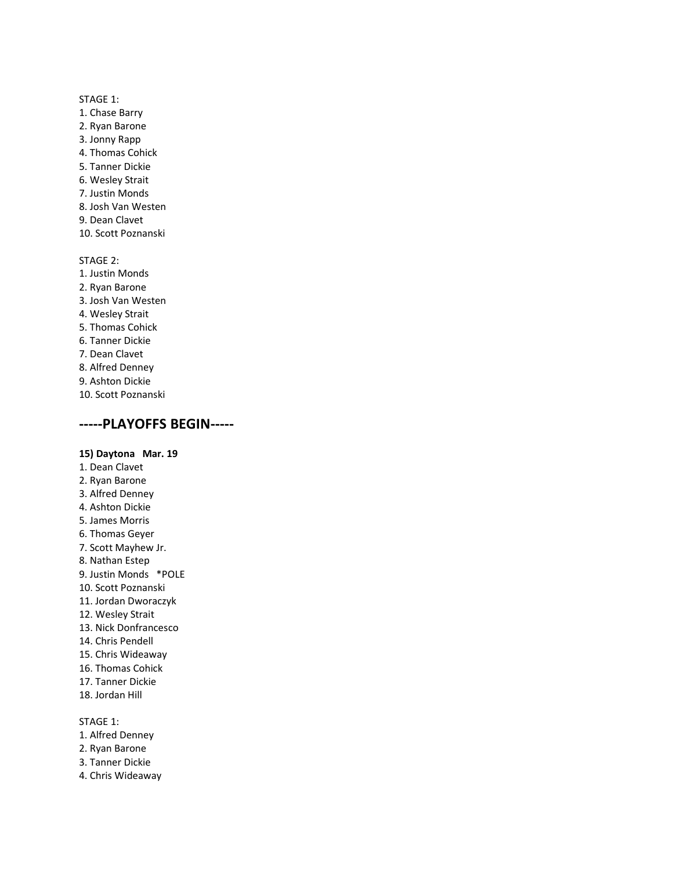- 1. Chase Barry
- 2. Ryan Barone
- 3. Jonny Rapp
- 4. Thomas Cohick
- 5. Tanner Dickie
- 6. Wesley Strait
- 7. Justin Monds
- 8. Josh Van Westen
- 9. Dean Clavet
- 10. Scott Poznanski

STAGE 2: 1. Justin Monds 2. Ryan Barone 3. Josh Van Westen 4. Wesley Strait 5. Thomas Cohick 6. Tanner Dickie 7. Dean Clavet 8. Alfred Denney 9. Ashton Dickie 10. Scott Poznanski

## **-----PLAYOFFS BEGIN-----**

#### **15) Daytona Mar. 19**

1. Dean Clavet 2. Ryan Barone 3. Alfred Denney 4. Ashton Dickie 5. James Morris 6. Thomas Geyer 7. Scott Mayhew Jr. 8. Nathan Estep 9. Justin Monds \*POLE 10. Scott Poznanski 11. Jordan Dworaczyk 12. Wesley Strait 13. Nick Donfrancesco 14. Chris Pendell 15. Chris Wideaway 16. Thomas Cohick 17. Tanner Dickie 18. Jordan Hill

- 1. Alfred Denney
- 2. Ryan Barone
- 3. Tanner Dickie
- 4. Chris Wideaway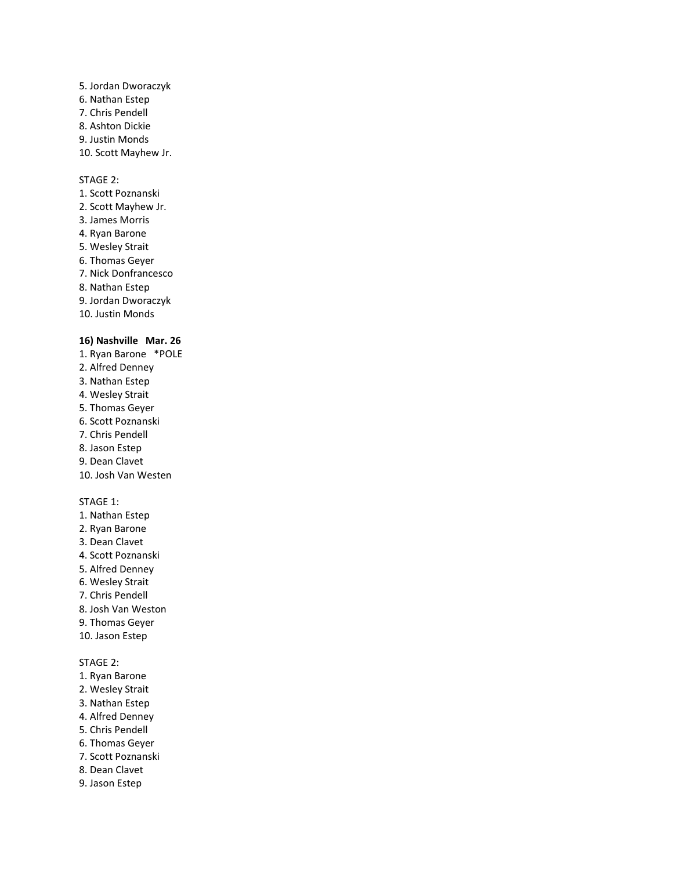5. Jordan Dworaczyk 6. Nathan Estep 7. Chris Pendell 8. Ashton Dickie 9. Justin Monds 10. Scott Mayhew Jr.

#### STAGE 2:

- 1. Scott Poznanski 2. Scott Mayhew Jr. 3. James Morris 4. Ryan Barone 5. Wesley Strait 6. Thomas Geyer 7. Nick Donfrancesco 8. Nathan Estep 9. Jordan Dworaczyk 10. Justin Monds **16) Nashville Mar. 26** 1. Ryan Barone \*POLE
- 2. Alfred Denney 3. Nathan Estep 4. Wesley Strait 5. Thomas Geyer 6. Scott Poznanski 7. Chris Pendell 8. Jason Estep 9. Dean Clavet 10. Josh Van Westen STAGE 1:
- 1. Nathan Estep
- 2. Ryan Barone
- 3. Dean Clavet
- 4. Scott Poznanski
- 5. Alfred Denney
- 6. Wesley Strait
- 7. Chris Pendell
- 8. Josh Van Weston
- 9. Thomas Geyer
- 10. Jason Estep

- 1. Ryan Barone
- 2. Wesley Strait
- 3. Nathan Estep
- 4. Alfred Denney
- 5. Chris Pendell
- 6. Thomas Geyer
- 7. Scott Poznanski
- 8. Dean Clavet
- 9. Jason Estep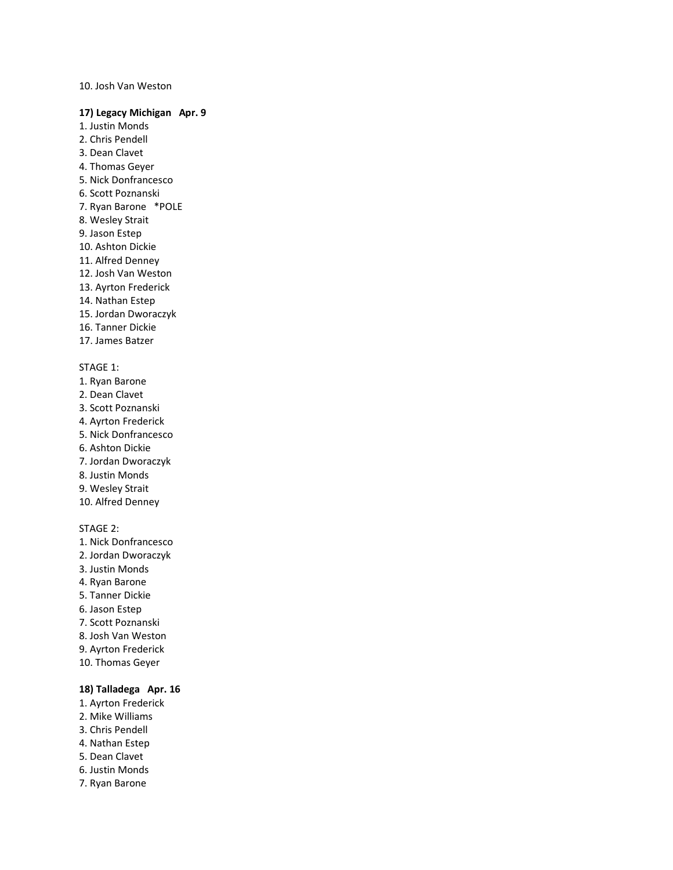#### 10. Josh Van Weston

#### **17) Legacy Michigan Apr. 9**

- 1. Justin Monds
- 2. Chris Pendell
- 3. Dean Clavet
- 4. Thomas Geyer
- 5. Nick Donfrancesco
- 6. Scott Poznanski
- 7. Ryan Barone \*POLE
- 8. Wesley Strait
- 9. Jason Estep
- 10. Ashton Dickie
- 11. Alfred Denney
- 12. Josh Van Weston
- 13. Ayrton Frederick
- 14. Nathan Estep
- 15. Jordan Dworaczyk
- 16. Tanner Dickie
- 17. James Batzer

### STAGE 1:

- 1. Ryan Barone
- 2. Dean Clavet
- 3. Scott Poznanski
- 4. Ayrton Frederick
- 5. Nick Donfrancesco
- 6. Ashton Dickie
- 7. Jordan Dworaczyk
- 8. Justin Monds
- 9. Wesley Strait
- 10. Alfred Denney

## STAGE 2:

- 1. Nick Donfrancesco
- 2. Jordan Dworaczyk
- 3. Justin Monds
- 4. Ryan Barone
- 5. Tanner Dickie
- 6. Jason Estep
- 7. Scott Poznanski
- 8. Josh Van Weston
- 9. Ayrton Frederick
- 10. Thomas Geyer

## **18) Talladega Apr. 16**

- 1. Ayrton Frederick
- 2. Mike Williams
- 3. Chris Pendell
- 4. Nathan Estep
- 5. Dean Clavet
- 6. Justin Monds
- 7. Ryan Barone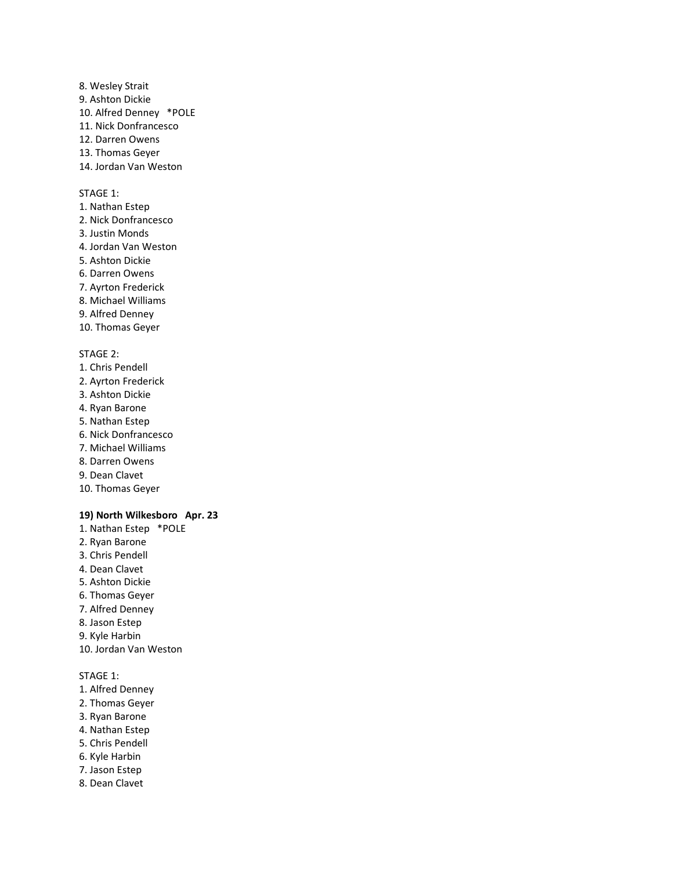8. Wesley Strait 9. Ashton Dickie 10. Alfred Denney \*POLE 11. Nick Donfrancesco 12. Darren Owens 13. Thomas Geyer 14. Jordan Van Weston

#### STAGE 1:

- 1. Nathan Estep 2. Nick Donfrancesco 3. Justin Monds 4. Jordan Van Weston
- 5. Ashton Dickie
- 6. Darren Owens
- 7. Ayrton Frederick
- 8. Michael Williams
- 9. Alfred Denney
- 10. Thomas Geyer

#### STAGE 2:

- 1. Chris Pendell 2. Ayrton Frederick 3. Ashton Dickie 4. Ryan Barone 5. Nathan Estep 6. Nick Donfrancesco 7. Michael Williams 8. Darren Owens
- 9. Dean Clavet
- 10. Thomas Geyer

#### **19) North Wilkesboro Apr. 23**

1. Nathan Estep \*POLE 2. Ryan Barone 3. Chris Pendell 4. Dean Clavet 5. Ashton Dickie 6. Thomas Geyer 7. Alfred Denney 8. Jason Estep 9. Kyle Harbin 10. Jordan Van Weston

- 1. Alfred Denney
- 2. Thomas Geyer
- 3. Ryan Barone
- 4. Nathan Estep
- 5. Chris Pendell
- 6. Kyle Harbin
- 7. Jason Estep
- 8. Dean Clavet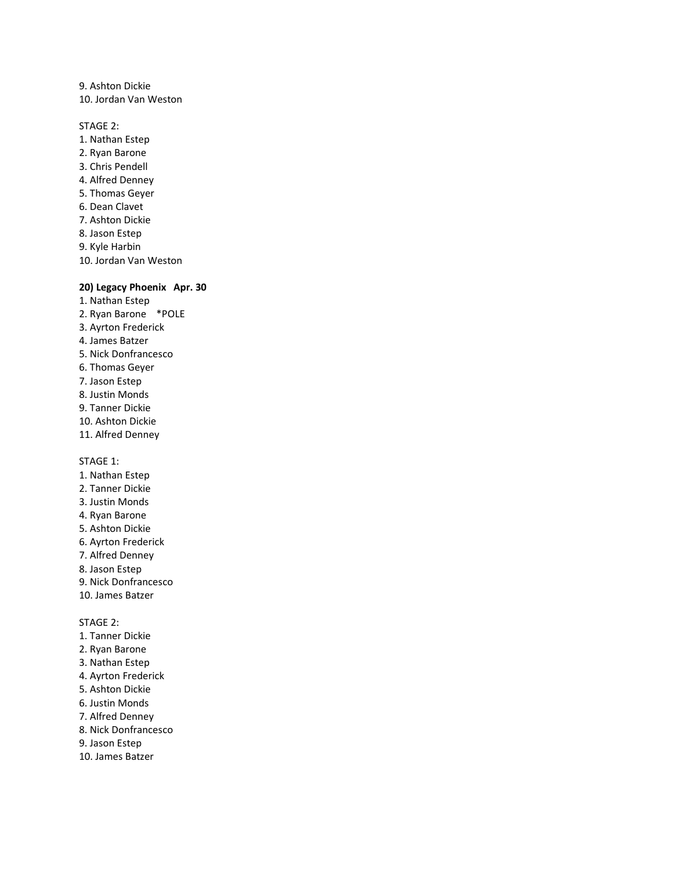9. Ashton Dickie 10. Jordan Van Weston

STAGE 2:

- 1. Nathan Estep 2. Ryan Barone 3. Chris Pendell 4. Alfred Denney 5. Thomas Geyer 6. Dean Clavet 7. Ashton Dickie 8. Jason Estep 9. Kyle Harbin
- 10. Jordan Van Weston

#### **20) Legacy Phoenix Apr. 30**

- 1. Nathan Estep 2. Ryan Barone \*POLE
- 3. Ayrton Frederick
- 4. James Batzer
- 5. Nick Donfrancesco
- 6. Thomas Geyer
- 7. Jason Estep
- 8. Justin Monds
- 9. Tanner Dickie
- 10. Ashton Dickie
- 11. Alfred Denney

STAGE 1:

- 1. Nathan Estep
- 2. Tanner Dickie
- 3. Justin Monds
- 4. Ryan Barone
- 5. Ashton Dickie
- 6. Ayrton Frederick
- 7. Alfred Denney
- 8. Jason Estep
- 9. Nick Donfrancesco
- 10. James Batzer

- 1. Tanner Dickie
- 2. Ryan Barone
- 3. Nathan Estep
- 4. Ayrton Frederick
- 5. Ashton Dickie
- 6. Justin Monds
- 7. Alfred Denney
- 8. Nick Donfrancesco
- 9. Jason Estep
- 10. James Batzer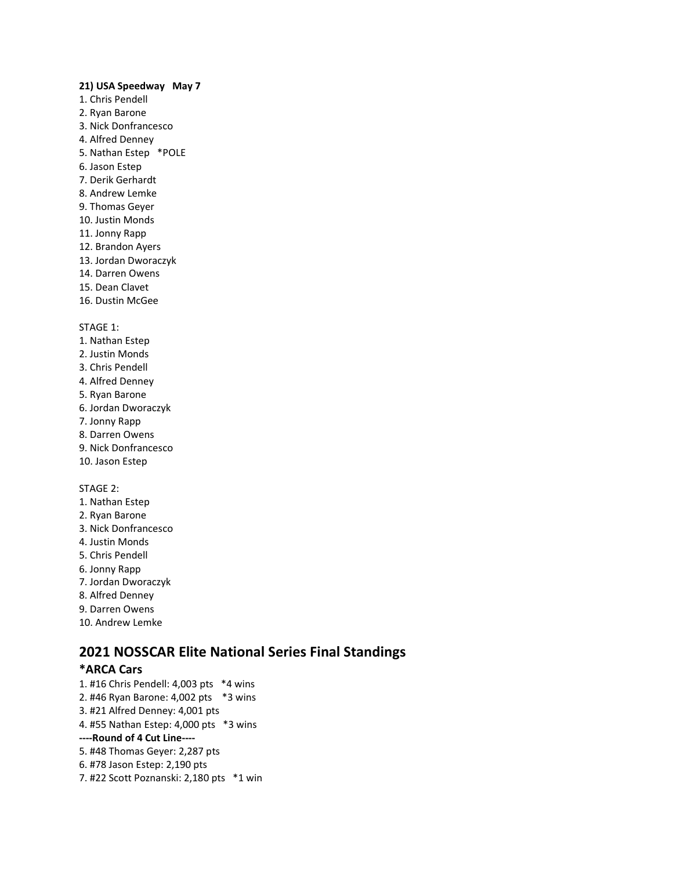#### **21) USA Speedway May 7**

- 1. Chris Pendell
- 2. Ryan Barone
- 3. Nick Donfrancesco
- 4. Alfred Denney
- 5. Nathan Estep \*POLE
- 6. Jason Estep
- 7. Derik Gerhardt
- 8. Andrew Lemke
- 9. Thomas Geyer
- 10. Justin Monds
- 11. Jonny Rapp
- 12. Brandon Ayers
- 13. Jordan Dworaczyk
- 14. Darren Owens
- 15. Dean Clavet
- 16. Dustin McGee

#### STAGE 1:

- 1. Nathan Estep
- 2. Justin Monds
- 3. Chris Pendell
- 4. Alfred Denney
- 5. Ryan Barone
- 6. Jordan Dworaczyk
- 7. Jonny Rapp
- 8. Darren Owens
- 9. Nick Donfrancesco
- 10. Jason Estep

## STAGE 2:

- 1. Nathan Estep
- 2. Ryan Barone
- 3. Nick Donfrancesco
- 4. Justin Monds
- 5. Chris Pendell
- 6. Jonny Rapp
- 7. Jordan Dworaczyk
- 8. Alfred Denney
- 9. Darren Owens
- 10. Andrew Lemke

# **2021 NOSSCAR Elite National Series Final Standings**

## **\*ARCA Cars**

1. #16 Chris Pendell: 4,003 pts \*4 wins 2. #46 Ryan Barone: 4,002 pts \*3 wins 3. #21 Alfred Denney: 4,001 pts 4. #55 Nathan Estep: 4,000 pts \*3 wins **----Round of 4 Cut Line----** 5. #48 Thomas Geyer: 2,287 pts 6. #78 Jason Estep: 2,190 pts 7. #22 Scott Poznanski: 2,180 pts \*1 win